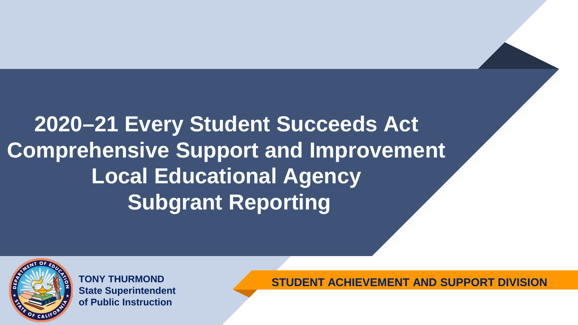# **2020–21 Every Student Succeeds Act Comprehensive Support and Improvement Local Educational Agency Subgrant Reporting**



**TONY THURMOND State Superintendent of Public Instruction**

**STUDENT ACHIEVEMENT AND SUPPORT DIVISION**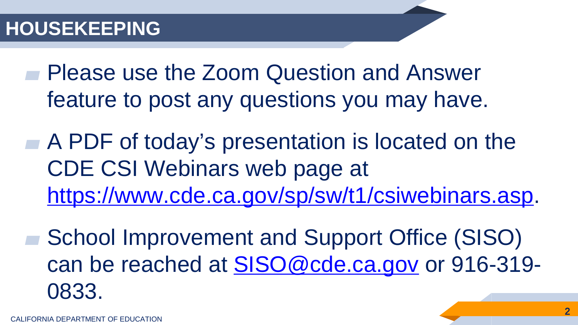Please use the Zoom Question and Answer feature to post any questions you may have.

A PDF of today's presentation is located on the CDE CSI Webinars web page at [https://www.cde.ca.gov/sp/sw/t1/csiwebinars.asp.](https://www.cde.ca.gov/sp/sw/t1/csiwebinars.asp)

School Improvement and Support Office (SISO) can be reached at **SISO@cde.ca.gov** or 916-319-0833.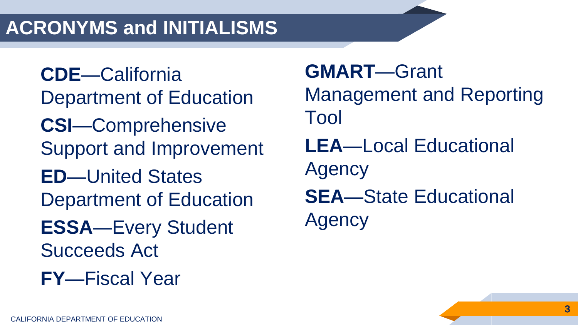#### **ACRONYMS and INITIALISMS**

**CDE**—California Department of Education **CSI**—Comprehensive Support and Improvement **ED**—United States Department of Education **ESSA**—Every Student Succeeds Act **FY**—Fiscal Year

**GMART**—Grant Management and Reporting Tool **LEA**—Local Educational Agency **SEA**—State Educational Agency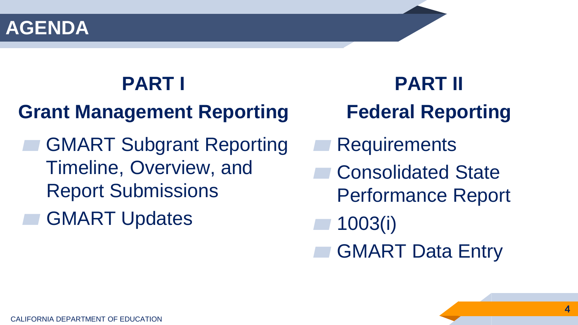#### **AGENDA**

# **PART I**

# **Grant Management Reporting**

- **GMART Subgrant Reporting** Timeline, Overview, and Report Submissions
- **GMART Updates**

**PART II Federal Reporting**

- **Requirements**
- Consolidated State
	- Performance Report

▰ 1003(i)

**GMART Data Entry**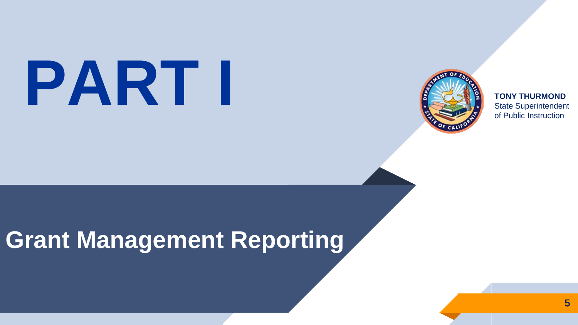# State Superintendent



**TONY THURMOND** of Public Instruction

# **Grant Management Reporting**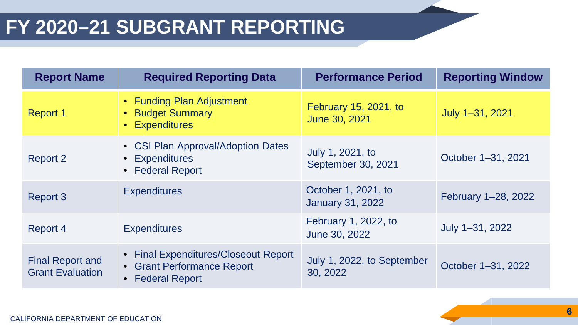| <b>Report Name</b>                                 | <b>Required Reporting Data</b>                                                         | <b>Performance Period</b>                      | <b>Reporting Window</b> |
|----------------------------------------------------|----------------------------------------------------------------------------------------|------------------------------------------------|-------------------------|
| <b>Report 1</b>                                    | • Funding Plan Adjustment<br>• Budget Summary<br>• Expenditures                        | February 15, 2021, to<br>June 30, 2021         | July 1-31, 2021         |
| <b>Report 2</b>                                    | • CSI Plan Approval/Adoption Dates<br>• Expenditures<br>• Federal Report               | July 1, 2021, to<br>September 30, 2021         | October 1-31, 2021      |
| <b>Report 3</b>                                    | <b>Expenditures</b>                                                                    | October 1, 2021, to<br><b>January 31, 2022</b> | February 1-28, 2022     |
| Report 4                                           | <b>Expenditures</b>                                                                    | February 1, 2022, to<br>June 30, 2022          | July 1-31, 2022         |
| <b>Final Report and</b><br><b>Grant Evaluation</b> | • Final Expenditures/Closeout Report<br>• Grant Performance Report<br>• Federal Report | July 1, 2022, to September<br>30, 2022         | October 1-31, 2022      |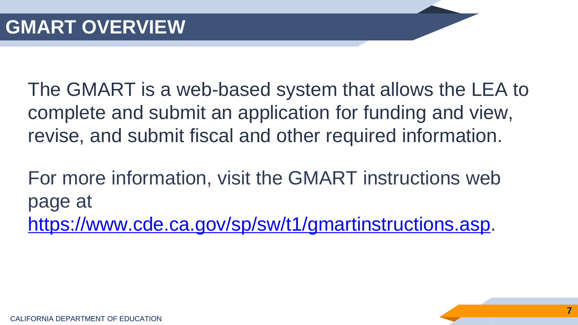The GMART is a web-based system that allows the LEA to complete and submit an application for funding and view, revise, and submit fiscal and other required information.

For more information, visit the GMART instructions web page at <https://www.cde.ca.gov/sp/sw/t1/gmartinstructions.asp>.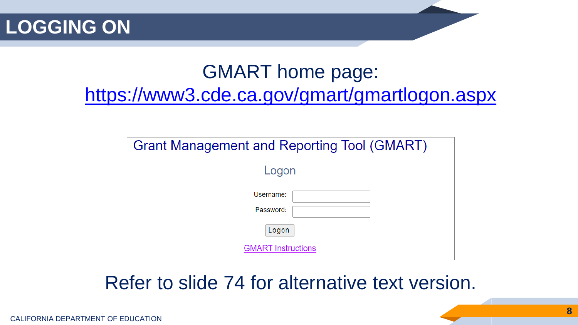**LOGGING ON**

#### GMART home page: <https://www3.cde.ca.gov/gmart/gmartlogon.aspx>

| Grant Management and Reporting Tool (GMART) |  |  |  |  |  |
|---------------------------------------------|--|--|--|--|--|
| Logon                                       |  |  |  |  |  |
| Username:<br>Password:                      |  |  |  |  |  |
| Logon                                       |  |  |  |  |  |
| <b>GMART Instructions</b>                   |  |  |  |  |  |

#### Refer to slide 74 for alternative text version.

**8**

CALIFORNIA DEPARTMENT OF EDUCATION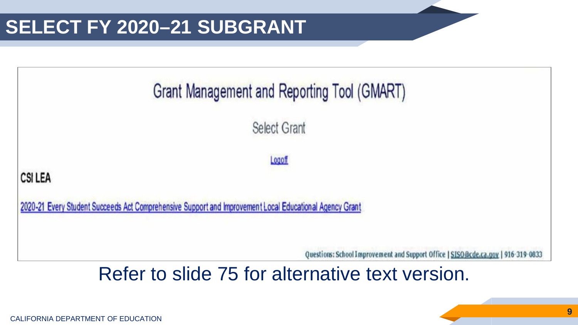

CALIFORNIA DEPARTMENT OF EDUCATION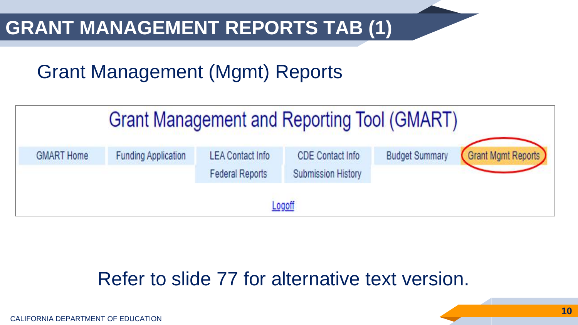#### **GRANT MANAGEMENT REPORTS TAB (1)**

## Grant Management (Mgmt) Reports

| Grant Management and Reporting Tool (GMART) |                            |                                                   |                                                      |                       |                    |  |  |
|---------------------------------------------|----------------------------|---------------------------------------------------|------------------------------------------------------|-----------------------|--------------------|--|--|
| <b>GMART Home</b>                           | <b>Funding Application</b> | <b>LEA Contact Info</b><br><b>Federal Reports</b> | <b>CDE Contact Info</b><br><b>Submission History</b> | <b>Budget Summary</b> | Grant Mgmt Reports |  |  |
| Logoff                                      |                            |                                                   |                                                      |                       |                    |  |  |

#### Refer to slide 77 for alternative text version.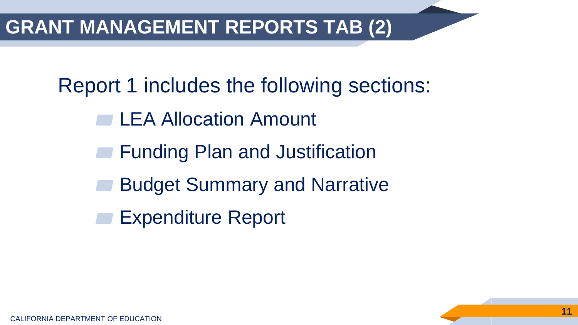#### **GRANT MANAGEMENT REPORTS TAB (2)**

Report 1 includes the following sections:

- **Example 2 Allocation Amount**
- **Funding Plan and Justification**
- **Budget Summary and Narrative**
- Expenditure Report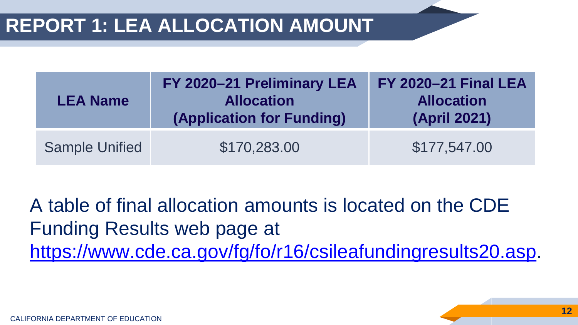| <b>LEA Name</b>       | FY 2020-21 Preliminary LEA<br><b>Allocation</b><br>(Application for Funding) | <b>FY 2020-21 Final LEA</b><br><b>Allocation</b><br><b>(April 2021)</b> |
|-----------------------|------------------------------------------------------------------------------|-------------------------------------------------------------------------|
| <b>Sample Unified</b> | \$170,283.00                                                                 | \$177,547.00                                                            |

A table of final allocation amounts is located on the CDE Funding Results web page at <https://www.cde.ca.gov/fg/fo/r16/csileafundingresults20.asp>.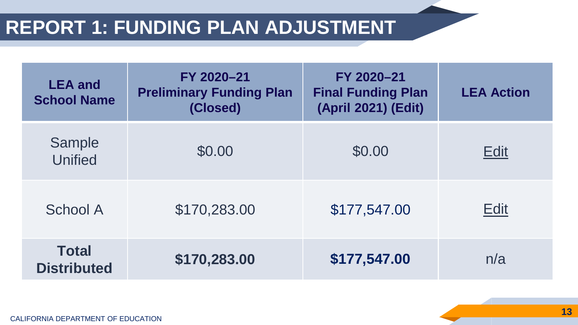#### **REPORT 1: FUNDING PLAN ADJUSTMENT**

| <b>LEA</b> and<br><b>School Name</b> | FY 2020-21<br><b>Preliminary Funding Plan</b><br>(Closed) | FY 2020-21<br><b>Final Funding Plan</b><br>(April 2021) (Edit) | <b>LEA Action</b> |
|--------------------------------------|-----------------------------------------------------------|----------------------------------------------------------------|-------------------|
| Sample<br><b>Unified</b>             | \$0.00                                                    | \$0.00                                                         | <b>Edit</b>       |
| <b>School A</b>                      | \$170,283.00                                              | \$177,547.00                                                   | <b>Edit</b>       |
| <b>Total</b><br><b>Distributed</b>   | \$170,283.00                                              | \$177,547.00                                                   | n/a               |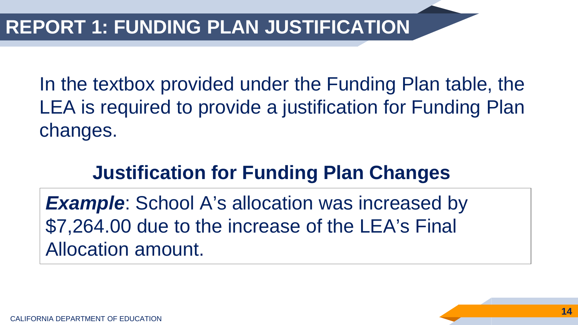In the textbox provided under the Funding Plan table, the LEA is required to provide a justification for Funding Plan changes.

#### **Justification for Funding Plan Changes**

**Example**: School A's allocation was increased by \$7,264.00 due to the increase of the LEA's Final Allocation amount.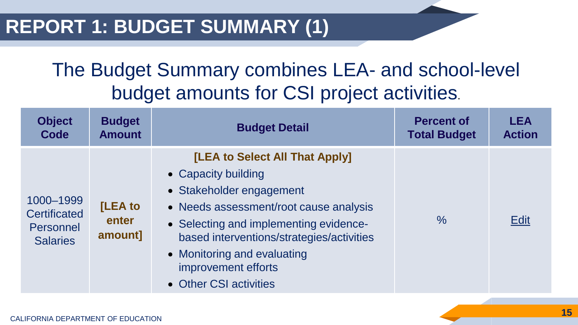#### The Budget Summary combines LEA- and school-level budget amounts for CSI project activities.

| <b>Object</b>                                                    | <b>Budget</b>                      | <b>Budget Detail</b>                                                                                                                                                                                                                                                                               | <b>Percent of</b>   | <b>LEA</b>    |
|------------------------------------------------------------------|------------------------------------|----------------------------------------------------------------------------------------------------------------------------------------------------------------------------------------------------------------------------------------------------------------------------------------------------|---------------------|---------------|
| Code                                                             | <b>Amount</b>                      |                                                                                                                                                                                                                                                                                                    | <b>Total Budget</b> | <b>Action</b> |
| 1000-1999<br><b>Certificated</b><br>Personnel<br><b>Salaries</b> | <b>[LEA to</b><br>enter<br>amount] | [LEA to Select All That Apply]<br>• Capacity building<br>• Stakeholder engagement<br>• Needs assessment/root cause analysis<br>• Selecting and implementing evidence-<br>based interventions/strategies/activities<br>• Monitoring and evaluating<br>improvement efforts<br>• Other CSI activities | $\frac{0}{0}$       | <b>Edit</b>   |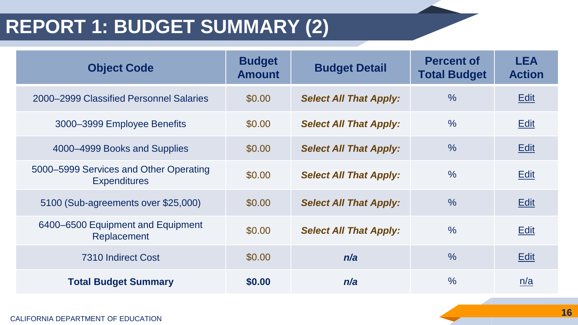#### **REPORT 1: BUDGET SUMMARY (2)**

| <b>Object Code</b>                                            | <b>Budget</b><br><b>Amount</b> | <b>Budget Detail</b>          | <b>Percent of</b><br><b>Total Budget</b> | <b>LEA</b><br><b>Action</b> |
|---------------------------------------------------------------|--------------------------------|-------------------------------|------------------------------------------|-----------------------------|
| 2000–2999 Classified Personnel Salaries                       | \$0.00                         | <b>Select All That Apply:</b> | $\frac{0}{0}$                            | <b>Edit</b>                 |
| 3000-3999 Employee Benefits                                   | \$0.00                         | <b>Select All That Apply:</b> | $\frac{0}{0}$                            | <b>Edit</b>                 |
| 4000-4999 Books and Supplies                                  | \$0.00                         | <b>Select All That Apply:</b> | $\frac{0}{0}$                            | <b>Edit</b>                 |
| 5000–5999 Services and Other Operating<br><b>Expenditures</b> | \$0.00                         | <b>Select All That Apply:</b> | $\frac{0}{0}$                            | <b>Edit</b>                 |
| 5100 (Sub-agreements over \$25,000)                           | \$0.00                         | <b>Select All That Apply:</b> | $\frac{0}{0}$                            | <b>Edit</b>                 |
| 6400-6500 Equipment and Equipment<br>Replacement              | \$0.00                         | <b>Select All That Apply:</b> | $\frac{0}{0}$                            | <b>Edit</b>                 |
| 7310 Indirect Cost                                            | \$0.00                         | n/a                           | $\frac{0}{0}$                            | <b>Edit</b>                 |
| <b>Total Budget Summary</b>                                   | \$0.00                         | n/a                           | $\frac{0}{0}$                            | n/a                         |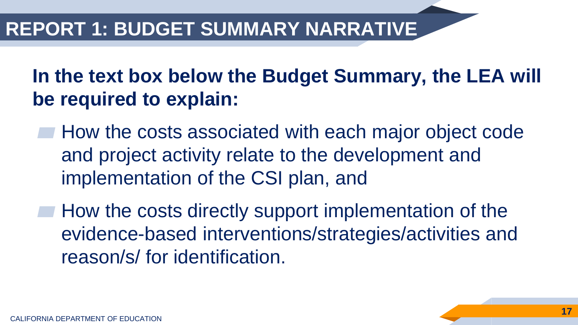#### **In the text box below the Budget Summary, the LEA will be required to explain:**

- ▰ How the costs associated with each major object code and project activity relate to the development and implementation of the CSI plan, and
- **How the costs directly support implementation of the** evidence-based interventions/strategies/activities and reason/s/ for identification.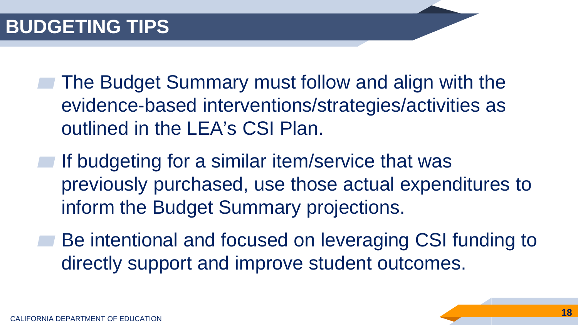- ▰ The Budget Summary must follow and align with the evidence-based interventions/strategies/activities as outlined in the LEA's CSI Plan.
- If budgeting for a similar item/service that was previously purchased, use those actual expenditures to inform the Budget Summary projections.
- Be intentional and focused on leveraging CSI funding to directly support and improve student outcomes.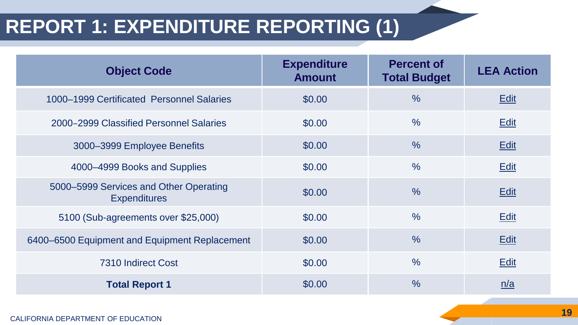#### **REPORT 1: EXPENDITURE REPORTING (1)**

| <b>Object Code</b>                                            | <b>Expenditure</b><br><b>Amount</b> | <b>Percent of</b><br><b>Total Budget</b> | <b>LEA Action</b> |
|---------------------------------------------------------------|-------------------------------------|------------------------------------------|-------------------|
| 1000-1999 Certificated Personnel Salaries                     | \$0.00                              | $\frac{0}{0}$                            | <b>Edit</b>       |
| 2000–2999 Classified Personnel Salaries                       | \$0.00                              | $\frac{0}{0}$                            | <b>Edit</b>       |
| 3000-3999 Employee Benefits                                   | \$0.00                              | $\frac{0}{0}$                            | Edit              |
| 4000-4999 Books and Supplies                                  | \$0.00                              | $\frac{0}{0}$                            | <b>Edit</b>       |
| 5000–5999 Services and Other Operating<br><b>Expenditures</b> | \$0.00                              | $\frac{0}{0}$                            | <b>Edit</b>       |
| 5100 (Sub-agreements over \$25,000)                           | \$0.00                              | $\%$                                     | Edit              |
| 6400–6500 Equipment and Equipment Replacement                 | \$0.00                              | $\frac{0}{0}$                            | <b>Edit</b>       |
| 7310 Indirect Cost                                            | \$0.00                              | $\frac{0}{0}$                            | Edit              |
| <b>Total Report 1</b>                                         | \$0.00                              | $\frac{0}{0}$                            | n/a               |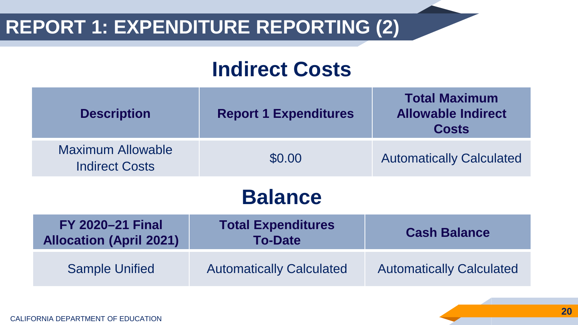#### **REPORT 1: EXPENDITURE REPORTING (2)**

### **Indirect Costs**

| <b>Description</b>                                        | <b>Report 1 Expenditures</b>                | <b>Total Maximum</b><br><b>Allowable Indirect</b><br><b>Costs</b> |  |  |  |  |
|-----------------------------------------------------------|---------------------------------------------|-------------------------------------------------------------------|--|--|--|--|
| <b>Maximum Allowable</b><br><b>Indirect Costs</b>         | \$0.00                                      | <b>Automatically Calculated</b>                                   |  |  |  |  |
| <b>Balance</b>                                            |                                             |                                                                   |  |  |  |  |
| <b>FY 2020-21 Final</b><br><b>Allocation (April 2021)</b> | <b>Total Expenditures</b><br><b>To-Date</b> | <b>Cash Balance</b>                                               |  |  |  |  |
| <b>Sample Unified</b>                                     | <b>Automatically Calculated</b>             | <b>Automatically Calculated</b>                                   |  |  |  |  |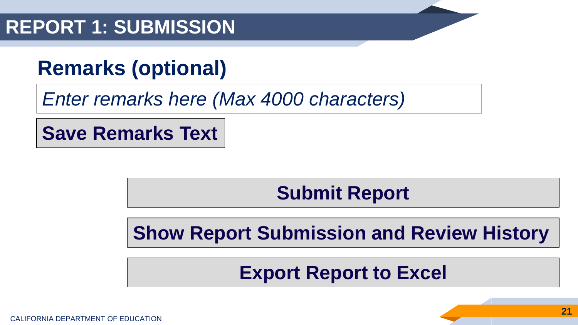#### **REPORT 1: SUBMISSION**

## **Remarks (optional)**

*Enter remarks here (Max 4000 characters)*

**Save Remarks Text**

**Submit Report**

**Show Report Submission and Review History**

**Export Report to Excel**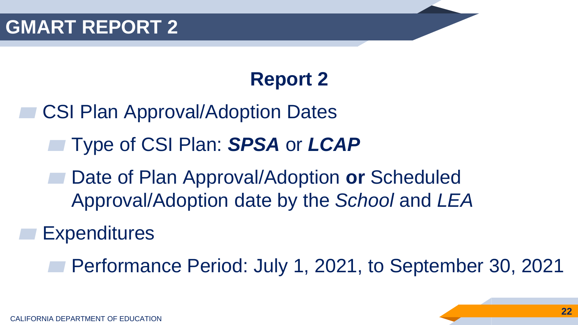## **Report 2**

- **CSI Plan Approval/Adoption Dates** 
	- ▰ Type of CSI Plan: *SPSA* or *LCAP*
	- ▰ Date of Plan Approval/Adoption **or** Scheduled Approval/Adoption date by the *School* and *LEA*

**Expenditures** 

Performance Period: July 1, 2021, to September 30, 2021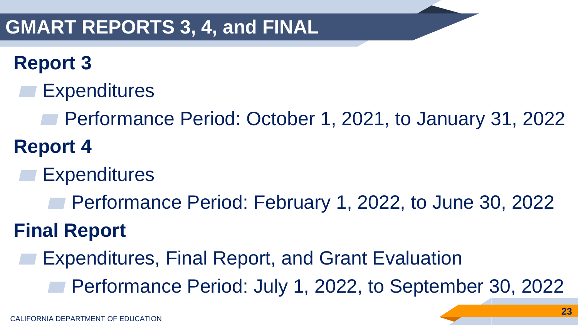#### **GMART REPORTS 3, 4, and FINAL**

### **Report 3**

- **Expenditures** 
	- Performance Period: October 1, 2021, to January 31, 2022
- **Report 4**
	- **Expenditures** 
		- Performance Period: February 1, 2022, to June 30, 2022

# **Final Report**

- Expenditures, Final Report, and Grant Evaluation
	- Performance Period: July 1, 2022, to September 30, 2022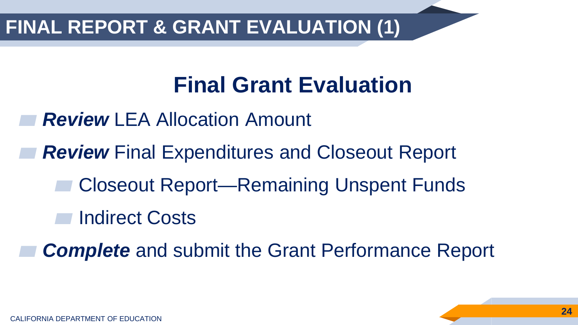#### **FINAL REPORT & GRANT EVALUATION (1)**

# **Final Grant Evaluation**

- **Review LEA Allocation Amount**
- **Review** Final Expenditures and Closeout Report
	- ▰ Closeout Report—Remaining Unspent Funds
	- **Indirect Costs**

**Complete** and submit the Grant Performance Report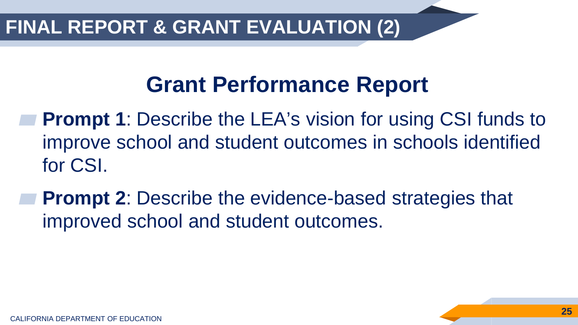# **Grant Performance Report**

- **Prompt 1:** Describe the LEA's vision for using CSI funds to improve school and student outcomes in schools identified for CSI.
- **Prompt 2:** Describe the evidence-based strategies that improved school and student outcomes.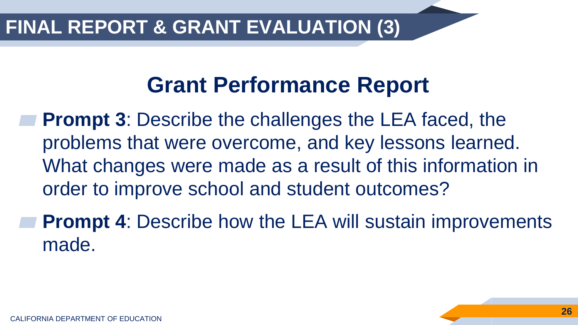#### **FINAL REPORT & GRANT EVALUATION (3)**

# **Grant Performance Report**

**Prompt 3: Describe the challenges the LEA faced, the** problems that were overcome, and key lessons learned. What changes were made as a result of this information in order to improve school and student outcomes?

**Prompt 4: Describe how the LEA will sustain improvements** made.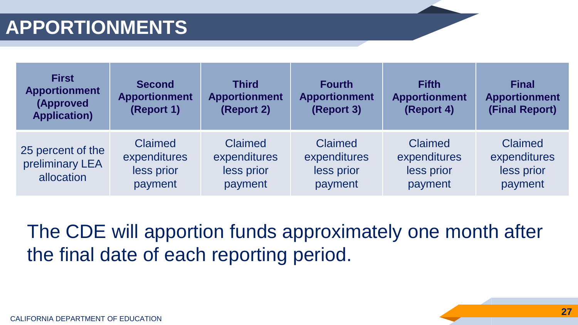| <b>First</b><br><b>Apportionment</b><br>(Approved<br><b>Application)</b> | <b>Second</b><br><b>Apportionment</b><br>(Report 1)     | <b>Third</b><br><b>Apportionment</b><br>(Report 2)      | <b>Fourth</b><br><b>Apportionment</b><br>(Report 3)     | <b>Fifth</b><br><b>Apportionment</b><br>(Report 4)      | <b>Final</b><br><b>Apportionment</b><br>(Final Report)  |
|--------------------------------------------------------------------------|---------------------------------------------------------|---------------------------------------------------------|---------------------------------------------------------|---------------------------------------------------------|---------------------------------------------------------|
| 25 percent of the<br>preliminary LEA<br>allocation                       | <b>Claimed</b><br>expenditures<br>less prior<br>payment | <b>Claimed</b><br>expenditures<br>less prior<br>payment | <b>Claimed</b><br>expenditures<br>less prior<br>payment | <b>Claimed</b><br>expenditures<br>less prior<br>payment | <b>Claimed</b><br>expenditures<br>less prior<br>payment |

#### The CDE will apportion funds approximately one month after the final date of each reporting period.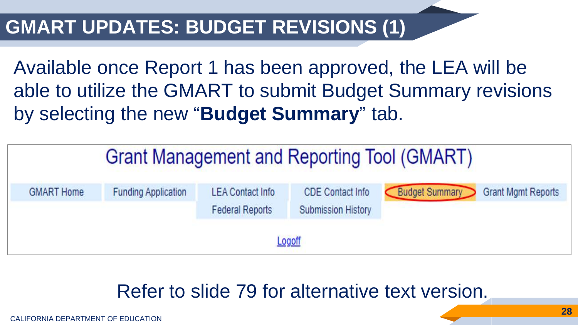#### **GMART UPDATES: BUDGET REVISIONS (1)**

Available once Report 1 has been approved, the LEA will be able to utilize the GMART to submit Budget Summary revisions by selecting the new "**Budget Summary**" tab.

| <b>Grant Management and Reporting Tool (GMART)</b>                                                                                                                                                                 |  |  |  |  |  |  |  |  |
|--------------------------------------------------------------------------------------------------------------------------------------------------------------------------------------------------------------------|--|--|--|--|--|--|--|--|
| <b>Budget Summary</b><br><b>Grant Mgmt Reports</b><br><b>CDE Contact Info</b><br><b>LEA Contact Info</b><br><b>Funding Application</b><br><b>GMART Home</b><br><b>Submission History</b><br><b>Federal Reports</b> |  |  |  |  |  |  |  |  |
| Logoff                                                                                                                                                                                                             |  |  |  |  |  |  |  |  |

#### Refer to slide 79 for alternative text version.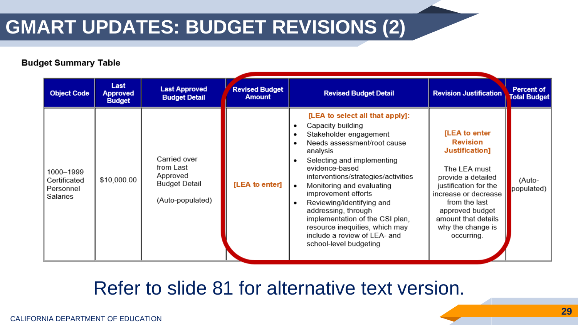#### **GMART UPDATES: BUDGET REVISIONS (2)**

#### **Budget Summary Table**

| <b>Object Code</b>                                 | Last<br><b>Approved</b><br><b>Budget</b> | <b>Last Approved</b><br><b>Budget Detail</b>                                      | <b>Revised Budget</b><br><b>Amount</b> | <b>Revised Budget Detail</b>                                                                                                                                                                                                                                                                                                                                                                                                                                              | <b>Revision Justification</b>                                                                                                                                                                                                           | <b>Percent of</b><br><b>Total Budget</b> |
|----------------------------------------------------|------------------------------------------|-----------------------------------------------------------------------------------|----------------------------------------|---------------------------------------------------------------------------------------------------------------------------------------------------------------------------------------------------------------------------------------------------------------------------------------------------------------------------------------------------------------------------------------------------------------------------------------------------------------------------|-----------------------------------------------------------------------------------------------------------------------------------------------------------------------------------------------------------------------------------------|------------------------------------------|
| 1000-1999<br>Certificated<br>Personnel<br>Salaries | \$10,000.00                              | Carried over<br>from Last<br>Approved<br><b>Budget Detail</b><br>(Auto-populated) | [LEA to enter]                         | [LEA to select all that apply]:<br>Capacity building<br>٠<br>Stakeholder engagement<br>Needs assessment/root cause<br>analysis<br>Selecting and implementing<br>evidence-based<br>interventions/strategies/activities<br>Monitoring and evaluating<br>$\bullet$<br>improvement efforts<br>Reviewing/identifying and<br>addressing, through<br>implementation of the CSI plan.<br>resource inequities, which may<br>include a review of LEA- and<br>school-level budgeting | [LEA to enter<br><b>Revision</b><br>Justification]<br>The LEA must<br>provide a detailed<br>justification for the<br>increase or decrease<br>from the last<br>approved budget<br>amount that details<br>why the change is<br>occurring. | (Auto-<br>populated)                     |

#### Refer to slide 81 for alternative text version.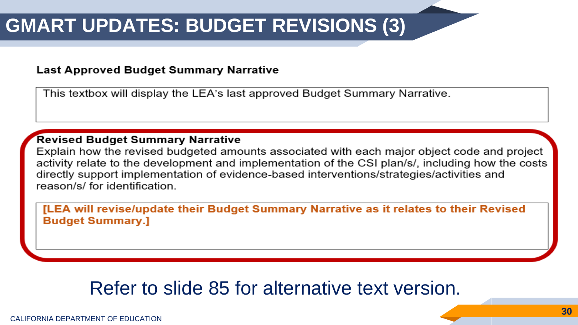#### **GMART UPDATES: BUDGET REVISIONS (3)**

#### **Last Approved Budget Summary Narrative**

This textbox will display the LEA's last approved Budget Summary Narrative.

#### Revised Budget Summary Narrative

Explain how the revised budgeted amounts associated with each major object code and project activity relate to the development and implementation of the CSI plan/s/, including how the costs directly support implementation of evidence-based interventions/strategies/activities and reason/s/ for identification.

[LEA will revise/update their Budget Summary Narrative as it relates to their Revised **Budget Summary.]** 

#### Refer to slide 85 for alternative text version.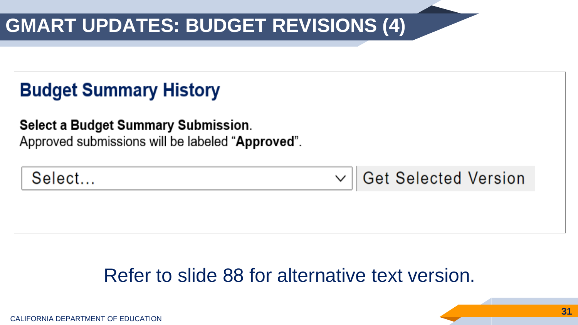## **GMART UPDATES: BUDGET REVISIONS (4)**

#### **Budget Summary History**

**Select a Budget Summary Submission.** Approved submissions will be labeled "Approved".

Select...

**Get Selected Version**  $\checkmark$ 

#### Refer to slide 88 for alternative text version.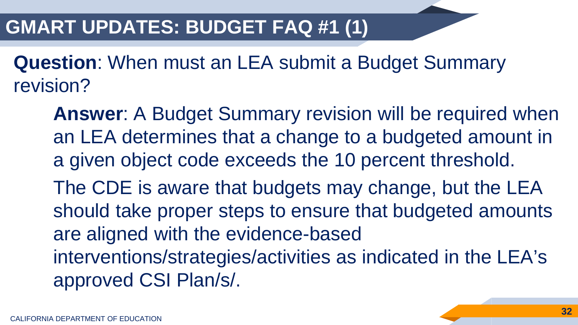#### **GMART UPDATES: BUDGET FAQ #1 (1)**

**Question**: When must an LEA submit a Budget Summary revision?

**Answer**: A Budget Summary revision will be required when an LEA determines that a change to a budgeted amount in a given object code exceeds the 10 percent threshold.

The CDE is aware that budgets may change, but the LEA should take proper steps to ensure that budgeted amounts are aligned with the evidence-based

interventions/strategies/activities as indicated in the LEA's approved CSI Plan/s/.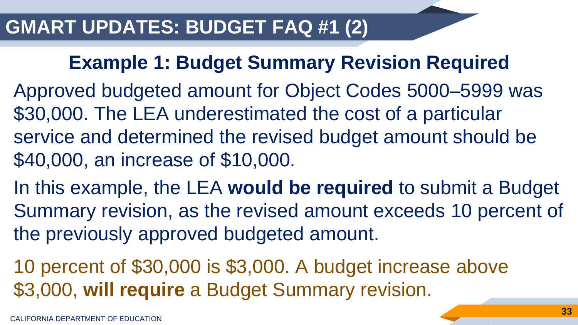#### **Example 1: Budget Summary Revision Required**

- Approved budgeted amount for Object Codes 5000–5999 was \$30,000. The LEA underestimated the cost of a particular service and determined the revised budget amount should be \$40,000, an increase of \$10,000.
- In this example, the LEA **would be required** to submit a Budget Summary revision, as the revised amount exceeds 10 percent of the previously approved budgeted amount.
- 10 percent of \$30,000 is \$3,000. A budget increase above \$3,000, **will require** a Budget Summary revision.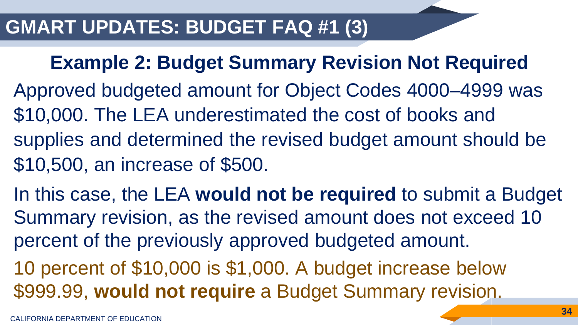#### **Example 2: Budget Summary Revision Not Required**

- Approved budgeted amount for Object Codes 4000–4999 was \$10,000. The LEA underestimated the cost of books and supplies and determined the revised budget amount should be \$10,500, an increase of \$500.
- In this case, the LEA **would not be required** to submit a Budget Summary revision, as the revised amount does not exceed 10 percent of the previously approved budgeted amount.

10 percent of \$10,000 is \$1,000. A budget increase below \$999.99, **would not require** a Budget Summary revision.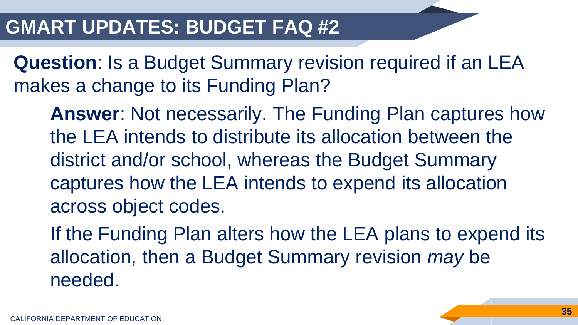#### **GMART UPDATES: BUDGET FAQ #2**

**Question**: Is a Budget Summary revision required if an LEA makes a change to its Funding Plan?

**Answer**: Not necessarily. The Funding Plan captures how the LEA intends to distribute its allocation between the district and/or school, whereas the Budget Summary captures how the LEA intends to expend its allocation across object codes.

If the Funding Plan alters how the LEA plans to expend its allocation, then a Budget Summary revision *may* be needed.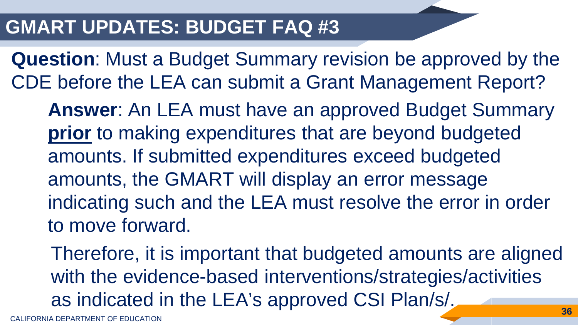#### **GMART UPDATES: BUDGET FAQ #3**

**Question**: Must a Budget Summary revision be approved by the CDE before the LEA can submit a Grant Management Report?

**Answer**: An LEA must have an approved Budget Summary **prior** to making expenditures that are beyond budgeted amounts. If submitted expenditures exceed budgeted amounts, the GMART will display an error message indicating such and the LEA must resolve the error in order to move forward.

Therefore, it is important that budgeted amounts are aligned with the evidence-based interventions/strategies/activities as indicated in the LEA's approved CSI Plan/s/. **36**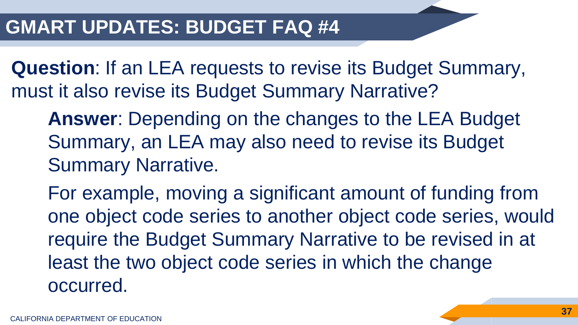**Question**: If an LEA requests to revise its Budget Summary, must it also revise its Budget Summary Narrative?

**Answer**: Depending on the changes to the LEA Budget Summary, an LEA may also need to revise its Budget Summary Narrative.

For example, moving a significant amount of funding from one object code series to another object code series, would require the Budget Summary Narrative to be revised in at least the two object code series in which the change occurred.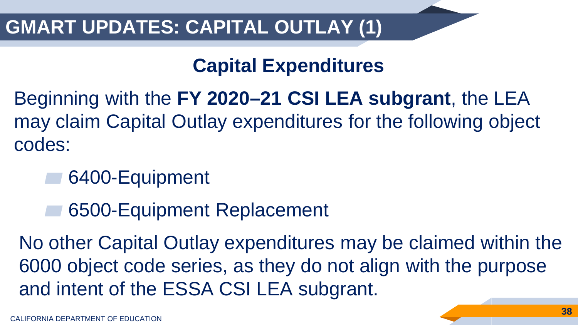### **GMART UPDATES: CAPITAL OUTLAY (1)**

### **Capital Expenditures**

- Beginning with the **FY 2020–21 CSI LEA subgrant**, the LEA may claim Capital Outlay expenditures for the following object codes:
	- 6400-Equipment
		- ▰ 6500-Equipment Replacement

No other Capital Outlay expenditures may be claimed within the 6000 object code series, as they do not align with the purpose and intent of the ESSA CSI LEA subgrant.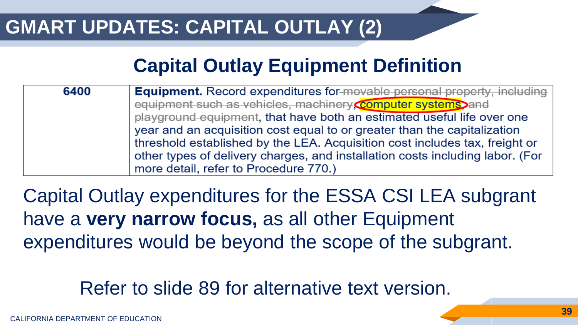### **GMART UPDATES: CAPITAL OUTLAY (2)**

### **Capital Outlay Equipment Definition**

| 6400 | <b>Equipment.</b> Record expenditures for-movable personal property, including |  |  |
|------|--------------------------------------------------------------------------------|--|--|
|      | equipment such as vehicles, machinery <b>Computer systems</b> and              |  |  |
|      | playground equipment, that have both an estimated useful life over one         |  |  |
|      | year and an acquisition cost equal to or greater than the capitalization       |  |  |
|      | threshold established by the LEA. Acquisition cost includes tax, freight or    |  |  |
|      | other types of delivery charges, and installation costs including labor. (For  |  |  |
|      | more detail, refer to Procedure 770.)                                          |  |  |

Capital Outlay expenditures for the ESSA CSI LEA subgrant have a **very narrow focus,** as all other Equipment expenditures would be beyond the scope of the subgrant.

Refer to slide 89 for alternative text version.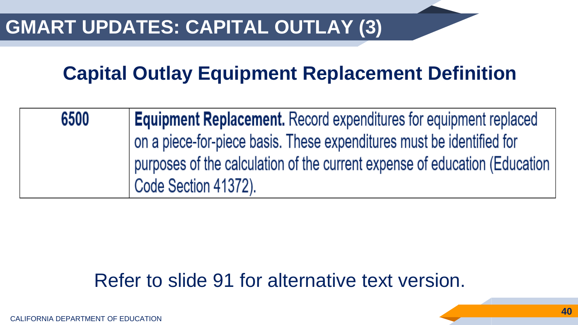### **Capital Outlay Equipment Replacement Definition**

| 6500 | <b>Equipment Replacement.</b> Record expenditures for equipment replaced   |
|------|----------------------------------------------------------------------------|
|      | on a piece-for-piece basis. These expenditures must be identified for      |
|      | purposes of the calculation of the current expense of education (Education |
|      | Code Section 41372).                                                       |

### Refer to slide 91 for alternative text version.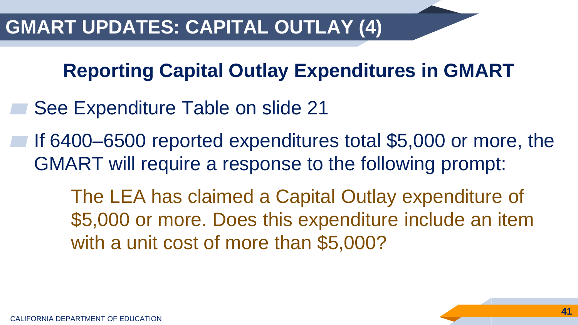**Reporting Capital Outlay Expenditures in GMART**

- See Expenditure Table on slide 21
- If 6400–6500 reported expenditures total \$5,000 or more, the GMART will require a response to the following prompt:

The LEA has claimed a Capital Outlay expenditure of \$5,000 or more. Does this expenditure include an item with a unit cost of more than \$5,000?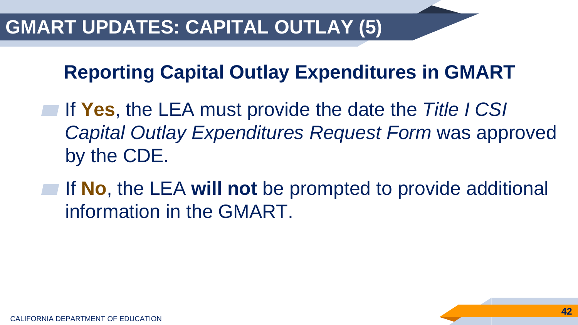### **Reporting Capital Outlay Expenditures in GMART**

- ▰ If **Yes**, the LEA must provide the date the *Title I CSI Capital Outlay Expenditures Request Form* was approved by the CDE.
- ▰ If **No**, the LEA **will not** be prompted to provide additional information in the GMART.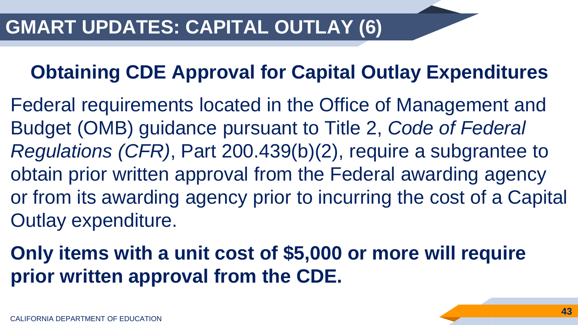### **Obtaining CDE Approval for Capital Outlay Expenditures**

Federal requirements located in the Office of Management and Budget (OMB) guidance pursuant to Title 2, *Code of Federal Regulations (CFR)*, Part 200.439(b)(2), require a subgrantee to obtain prior written approval from the Federal awarding agency or from its awarding agency prior to incurring the cost of a Capital Outlay expenditure.

### **Only items with a unit cost of \$5,000 or more will require prior written approval from the CDE.**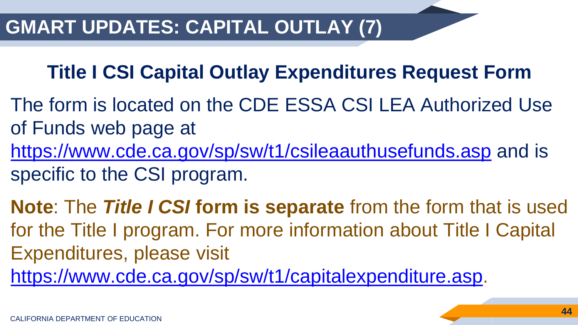### **Title I CSI Capital Outlay Expenditures Request Form**

- The form is located on the CDE ESSA CSI LEA Authorized Use of Funds web page at <https://www.cde.ca.gov/sp/sw/t1/csileaauthusefunds.asp> and is specific to the CSI program.
- **Note**: The *Title I CSI* **form is separate** from the form that is used for the Title I program. For more information about Title I Capital Expenditures, please visit [https://www.cde.ca.gov/sp/sw/t1/capitalexpenditure.asp.](https://www.cde.ca.gov/sp/sw/t1/capitalexpenditure.asp)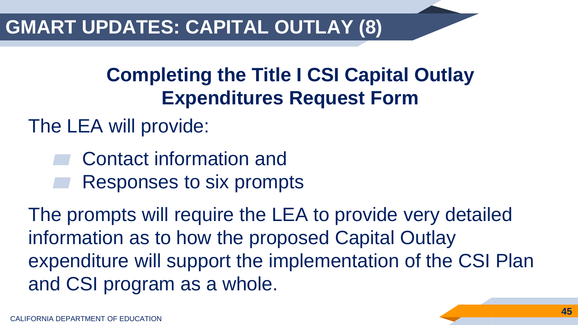### **GMART UPDATES: CAPITAL OUTLAY (8)**

### **Completing the Title I CSI Capital Outlay Expenditures Request Form**

The LEA will provide:

Contact information and Responses to six prompts

The prompts will require the LEA to provide very detailed information as to how the proposed Capital Outlay expenditure will support the implementation of the CSI Plan and CSI program as a whole.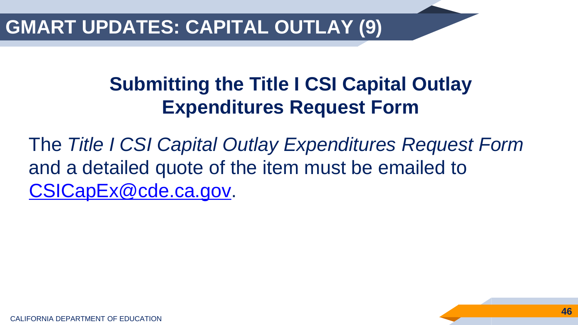### **GMART UPDATES: CAPITAL OUTLAY (9)**

### **Submitting the Title I CSI Capital Outlay Expenditures Request Form**

The *Title I CSI Capital Outlay Expenditures Request Form*  and a detailed quote of the item must be emailed to [CSICapEx@cde.ca.gov](mailto:CSICapEx@cde.ca.gov).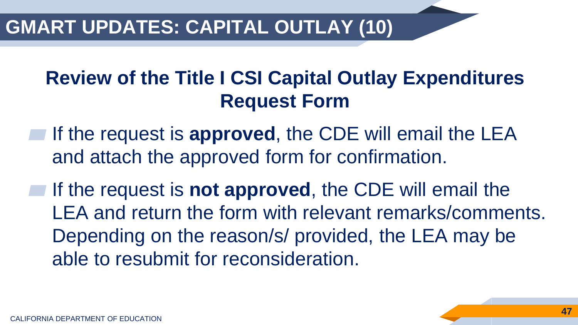### **GMART UPDATES: CAPITAL OUTLAY (10)**

### **Review of the Title I CSI Capital Outlay Expenditures Request Form**

- **If the request is approved, the CDE will email the LEA** and attach the approved form for confirmation.
- **The request is not approved**, the CDE will email the LEA and return the form with relevant remarks/comments. Depending on the reason/s/ provided, the LEA may be able to resubmit for reconsideration.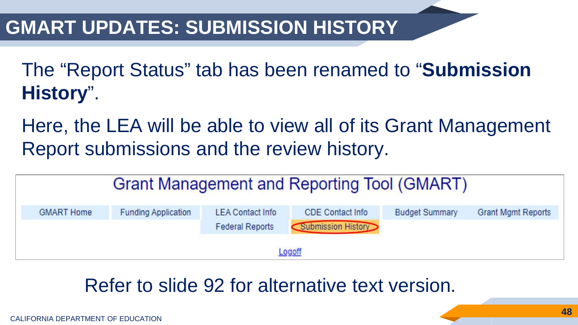### **GMART UPDATES: SUBMISSION HISTORY**

The "Report Status" tab has been renamed to "**Submission History**".

Here, the LEA will be able to view all of its Grant Management Report submissions and the review history.

| Grant Management and Reporting Tool (GMART) |                            |                                                   |                                               |                       |                           |
|---------------------------------------------|----------------------------|---------------------------------------------------|-----------------------------------------------|-----------------------|---------------------------|
| <b>GMART Home</b>                           | <b>Funding Application</b> | <b>LEA Contact Info</b><br><b>Federal Reports</b> | <b>CDE Contact Info</b><br>Submission History | <b>Budget Summary</b> | <b>Grant Mgmt Reports</b> |
| Logoff                                      |                            |                                                   |                                               |                       |                           |

### Refer to slide 92 for alternative text version.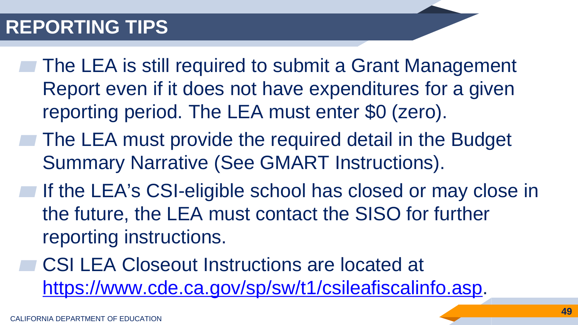### **REPORTING TIPS**

- The LEA is still required to submit a Grant Management Report even if it does not have expenditures for a given reporting period. The LEA must enter \$0 (zero).
- The LEA must provide the required detail in the Budget Summary Narrative (See GMART Instructions).
- **If the LEA's CSI-eligible school has closed or may close in** the future, the LEA must contact the SISO for further reporting instructions.
	- ▰ CSI LEA Closeout Instructions are located at <https://www.cde.ca.gov/sp/sw/t1/csileafiscalinfo.asp>.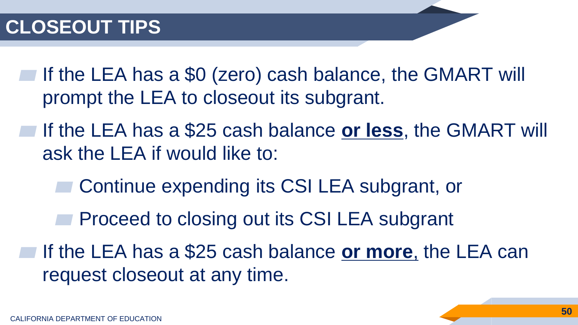### **CLOSEOUT TIPS**

If the LEA has a \$0 (zero) cash balance, the GMART will prompt the LEA to closeout its subgrant.

▰ If the LEA has a \$25 cash balance **or less**, the GMART will ask the LEA if would like to:

Continue expending its CSI LEA subgrant, or

Proceed to closing out its CSI LEA subgrant

▰ If the LEA has a \$25 cash balance **or more**, the LEA can request closeout at any time.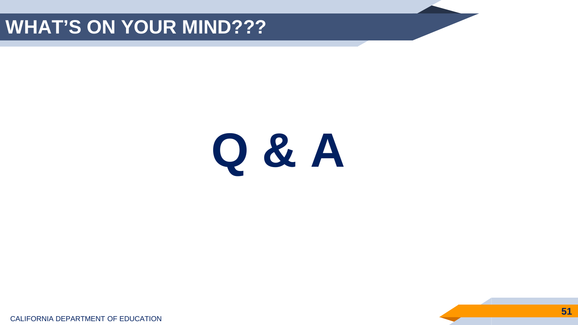### **WHAT'S ON YOUR MIND???**

# **Q & A**

CALIFORNIA DEPARTMENT OF EDUCATION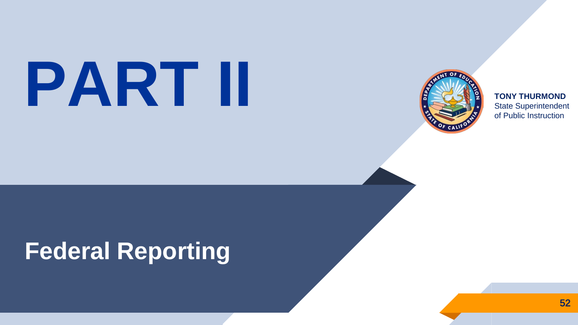# State Superintendent



**TONY THURMOND** of Public Instruction

# **Federal Reporting**

52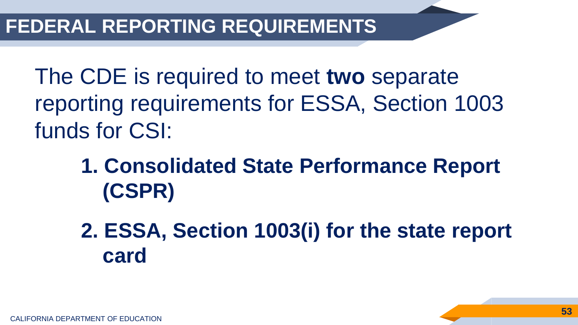The CDE is required to meet **two** separate reporting requirements for ESSA, Section 1003 funds for CSI:

## **1. Consolidated State Performance Report (CSPR)**

**2. ESSA, Section 1003(i) for the state report card**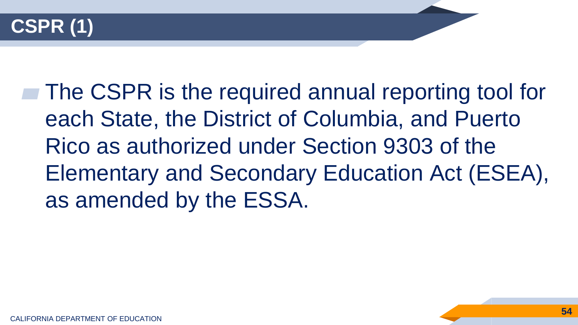

▰ The CSPR is the required annual reporting tool for each State, the District of Columbia, and Puerto Rico as authorized under Section 9303 of the Elementary and Secondary Education Act (ESEA), as amended by the ESSA.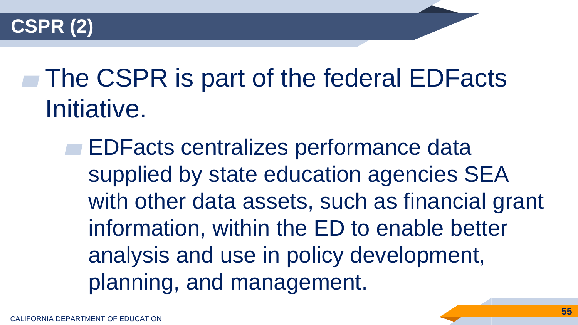

# **■ The CSPR is part of the federal EDFacts** Initiative.

**EDFacts centralizes performance data** supplied by state education agencies SEA with other data assets, such as financial grant information, within the ED to enable better analysis and use in policy development, planning, and management.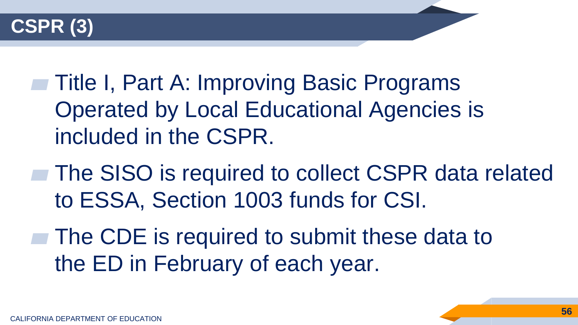

- ▰ Title I, Part A: Improving Basic Programs Operated by Local Educational Agencies is included in the CSPR.
- **The SISO is required to collect CSPR data related** to ESSA, Section 1003 funds for CSI.
- **The CDE is required to submit these data to** the ED in February of each year.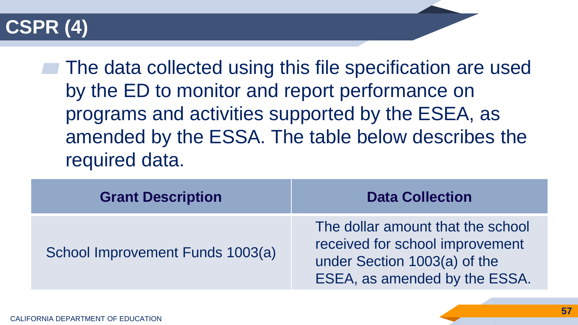### **CSPR (4)**

**■ The data collected using this file specification are used** by the ED to monitor and report performance on programs and activities supported by the ESEA, as amended by the ESSA. The table below describes the required data.

| <b>Grant Description</b>         | <b>Data Collection</b>                                                                                                                |  |
|----------------------------------|---------------------------------------------------------------------------------------------------------------------------------------|--|
| School Improvement Funds 1003(a) | The dollar amount that the school<br>received for school improvement<br>under Section 1003(a) of the<br>ESEA, as amended by the ESSA. |  |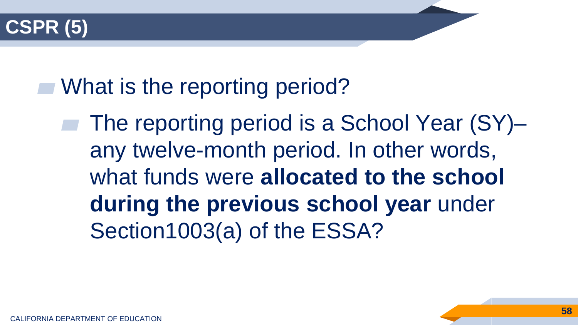

**■ What is the reporting period?** 

The reporting period is a School Year (SY)– any twelve-month period. In other words, what funds were **allocated to the school during the previous school year** under Section1003(a) of the ESSA?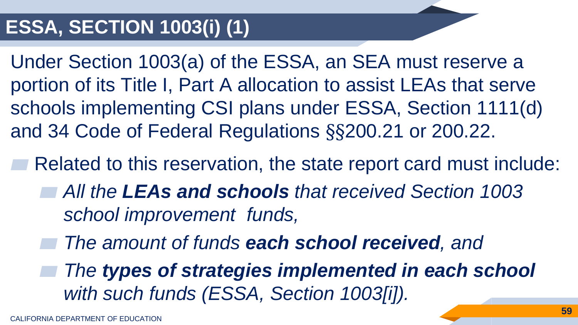### **ESSA, SECTION 1003(i) (1)**

Under Section 1003(a) of the ESSA, an SEA must reserve a portion of its Title I, Part A allocation to assist LEAs that serve schools implementing CSI plans under ESSA, Section 1111(d) and 34 Code of Federal Regulations §§200.21 or 200.22.

Related to this reservation, the state report card must include:

- ▰ *All the LEAs and schools that received Section 1003 school improvement funds,*
- ▰ *The amount of funds each school received, and*

▰ *The types of strategies implemented in each school with such funds (ESSA, Section 1003[i]).*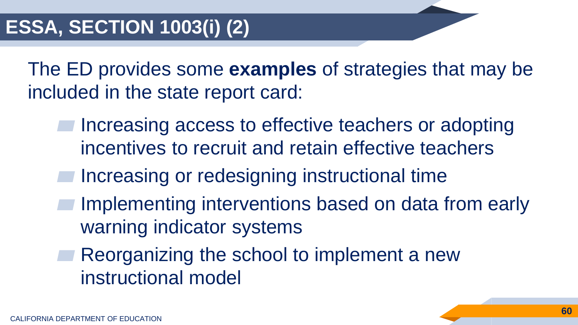The ED provides some **examples** of strategies that may be included in the state report card:

- Increasing access to effective teachers or adopting incentives to recruit and retain effective teachers
- Increasing or redesigning instructional time
- Implementing interventions based on data from early warning indicator systems
	- Reorganizing the school to implement a new instructional model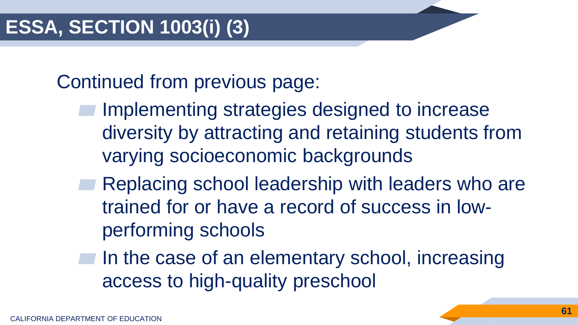Continued from previous page:

- Implementing strategies designed to increase diversity by attracting and retaining students from varying socioeconomic backgrounds
- Replacing school leadership with leaders who are trained for or have a record of success in lowperforming schools
- In the case of an elementary school, increasing access to high-quality preschool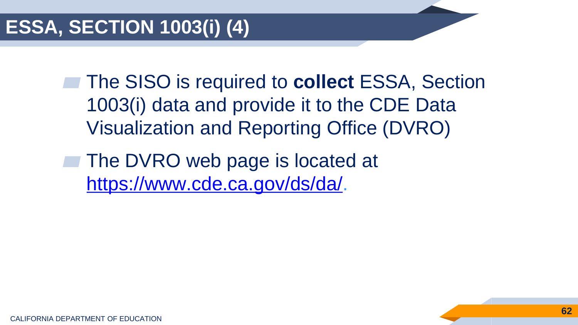**■ The SISO is required to collect ESSA, Section** 1003(i) data and provide it to the CDE Data Visualization and Reporting Office (DVRO)

The DVRO web page is located at [https://www.cde.ca.gov/ds/da/.](https://www.cde.ca.gov/ds/da/)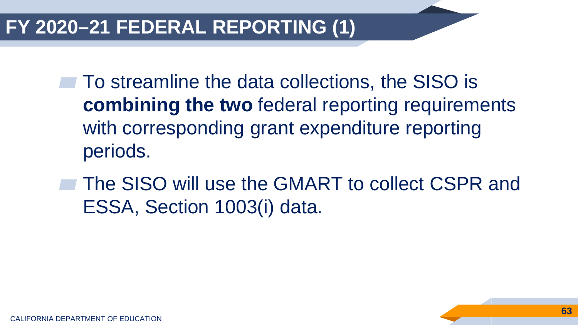### **FY 2020–21 FEDERAL REPORTING (1)**

- **To streamline the data collections, the SISO is combining the two** federal reporting requirements with corresponding grant expenditure reporting periods.
- ▰ The SISO will use the GMART to collect CSPR and ESSA, Section 1003(i) data.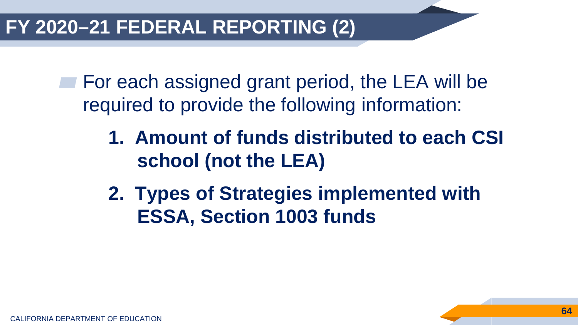▰ For each assigned grant period, the LEA will be required to provide the following information:

- **1. Amount of funds distributed to each CSI school (not the LEA)**
- **2. Types of Strategies implemented with ESSA, Section 1003 funds**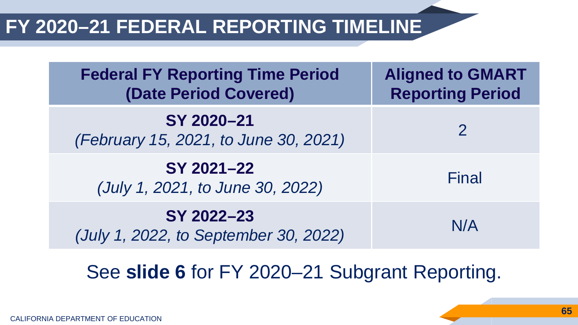### **FY 2020–21 FEDERAL REPORTING TIMELINE**

| <b>Federal FY Reporting Time Period</b><br><b>(Date Period Covered)</b> | <b>Aligned to GMART</b><br><b>Reporting Period</b> |
|-------------------------------------------------------------------------|----------------------------------------------------|
| SY 2020-21<br>(February 15, 2021, to June 30, 2021)                     | $\overline{2}$                                     |
| SY 2021-22<br>(July 1, 2021, to June 30, 2022)                          | Final                                              |
| SY 2022-23<br>(July 1, 2022, to September 30, 2022)                     | N/A                                                |

### See **slide 6** for FY 2020–21 Subgrant Reporting.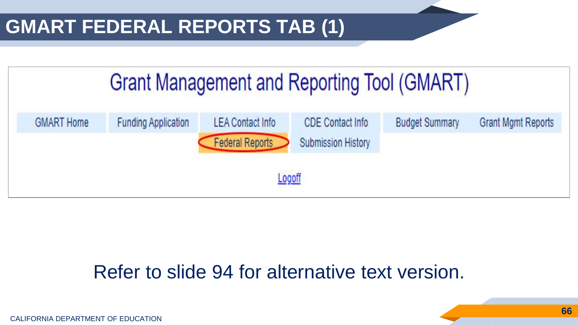### **GMART FEDERAL REPORTS TAB (1)**



#### Refer to slide 94 for alternative text version.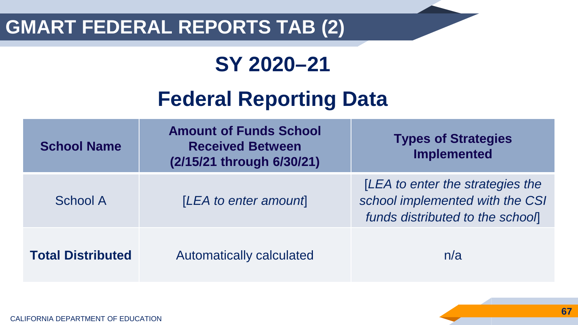### **GMART FEDERAL REPORTS TAB (2)**

### **SY 2020–21**

### **Federal Reporting Data**

| <b>School Name</b>       | <b>Amount of Funds School</b><br><b>Received Between</b><br>(2/15/21 through 6/30/21) | <b>Types of Strategies</b><br>Implemented                                                              |
|--------------------------|---------------------------------------------------------------------------------------|--------------------------------------------------------------------------------------------------------|
| School A                 | [LEA to enter amount]                                                                 | [LEA to enter the strategies the<br>school implemented with the CSI<br>funds distributed to the school |
| <b>Total Distributed</b> | Automatically calculated                                                              | n/a                                                                                                    |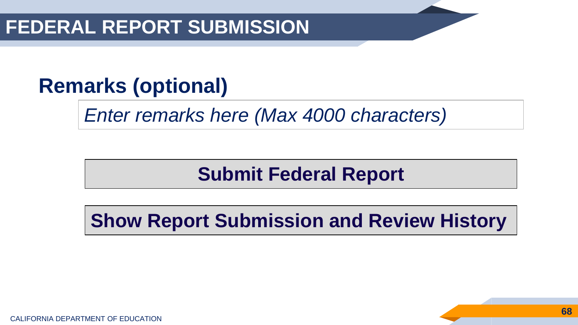### **FEDERAL REPORT SUBMISSION**

## **Remarks (optional)**

*Enter remarks here (Max 4000 characters)*

### **Submit Federal Report**

**Show Report Submission and Review History**

CALIFORNIA DEPARTMENT OF EDUCATION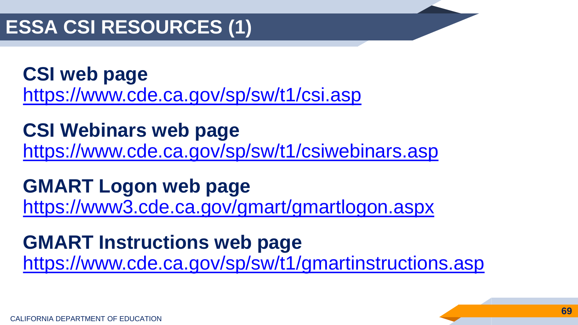### **ESSA CSI RESOURCES (1)**

**CSI web page** <https://www.cde.ca.gov/sp/sw/t1/csi.asp>

**CSI Webinars web page** <https://www.cde.ca.gov/sp/sw/t1/csiwebinars.asp>

**GMART Logon web page** <https://www3.cde.ca.gov/gmart/gmartlogon.aspx>

**GMART Instructions web page**  <https://www.cde.ca.gov/sp/sw/t1/gmartinstructions.asp>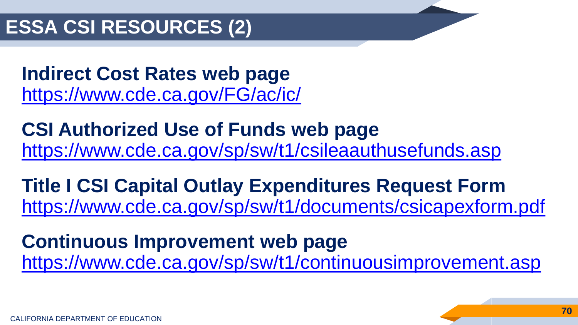**Indirect Cost Rates web page** <https://www.cde.ca.gov/FG/ac/ic/>

**CSI Authorized Use of Funds web page** <https://www.cde.ca.gov/sp/sw/t1/csileaauthusefunds.asp>

**Title I CSI Capital Outlay Expenditures Request Form** <https://www.cde.ca.gov/sp/sw/t1/documents/csicapexform.pdf>

**Continuous Improvement web page** <https://www.cde.ca.gov/sp/sw/t1/continuousimprovement.asp>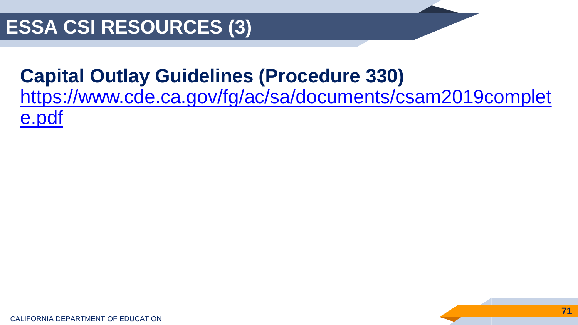### **Capital Outlay Guidelines (Procedure 330)**

[https://www.cde.ca.gov/fg/ac/sa/documents/csam2019complet](https://www.cde.ca.gov/fg/ac/sa/documents/csam2019complete.pdf) e.pdf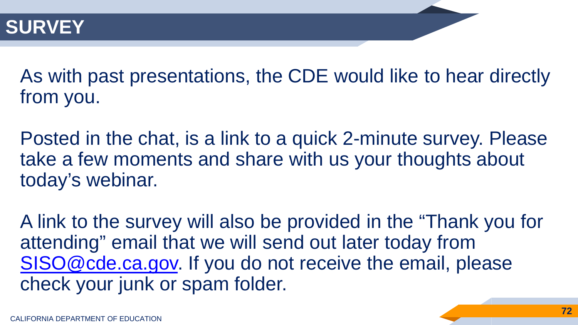As with past presentations, the CDE would like to hear directly from you.

Posted in the chat, is a link to a quick 2-minute survey. Please take a few moments and share with us your thoughts about today's webinar.

A link to the survey will also be provided in the "Thank you for attending" email that we will send out later today from [SISO@cde.ca.gov.](mailto:SISO@cde.ca.gov) If you do not receive the email, please check your junk or spam folder.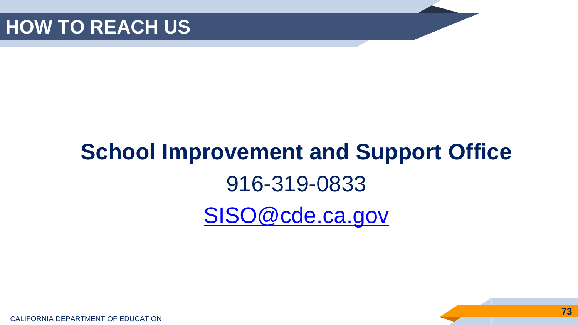# **School Improvement and Support Office** 916-319-0833 [SISO@cde.ca.gov](mailto:SISO@cde.ca.gov)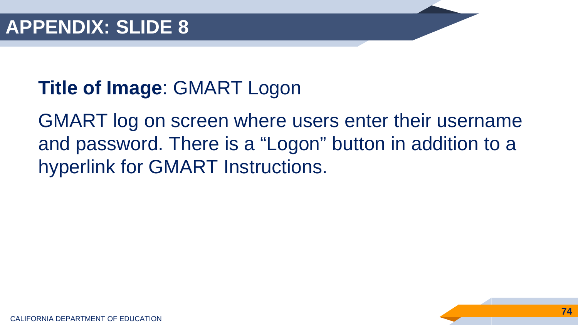### **Title of Image**: GMART Logon

GMART log on screen where users enter their username and password. There is a "Logon" button in addition to a hyperlink for GMART Instructions.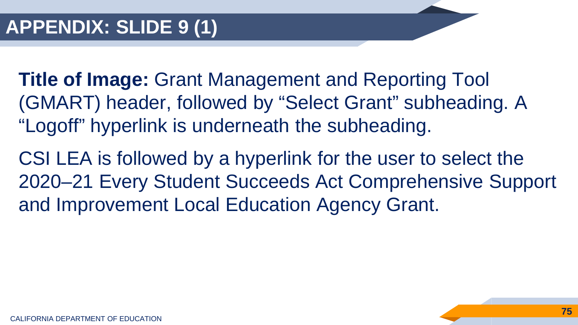- **Title of Image:** Grant Management and Reporting Tool (GMART) header, followed by "Select Grant" subheading. A "Logoff" hyperlink is underneath the subheading.
- CSI LEA is followed by a hyperlink for the user to select the 2020–21 Every Student Succeeds Act Comprehensive Support and Improvement Local Education Agency Grant.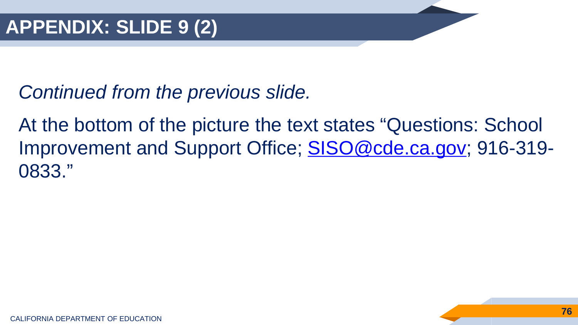At the bottom of the picture the text states "Questions: School Improvement and Support Office; **SISO@cde.ca.gov**; 916-319-0833."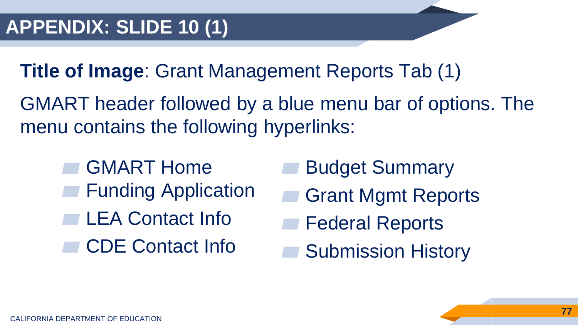**Title of Image**: Grant Management Reports Tab (1)

GMART header followed by a blue menu bar of options. The menu contains the following hyperlinks:

- **GMART Home Funding Application** LEA Contact Info CDE Contact Info
- **Budget Summary**
- **Grant Mgmt Reports**
- **Federal Reports**
- **Submission History**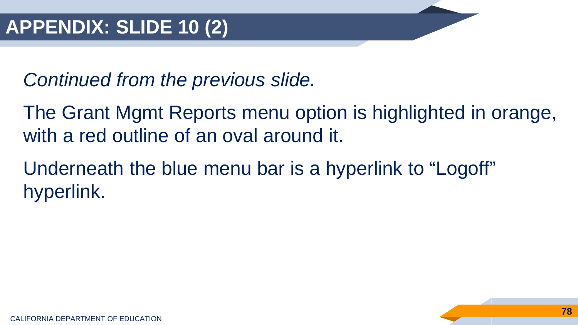The Grant Mgmt Reports menu option is highlighted in orange, with a red outline of an oval around it.

Underneath the blue menu bar is a hyperlink to "Logoff" hyperlink.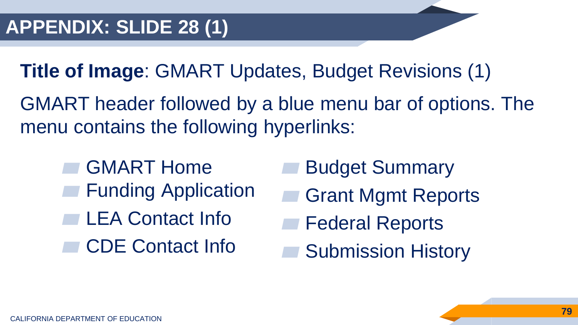**Title of Image**: GMART Updates, Budget Revisions (1)

GMART header followed by a blue menu bar of options. The menu contains the following hyperlinks:

- GMART Home **Funding Application** LEA Contact Info CDE Contact Info
- **Budget Summary**
- **Grant Mgmt Reports**
- **Federal Reports**
- **Submission History**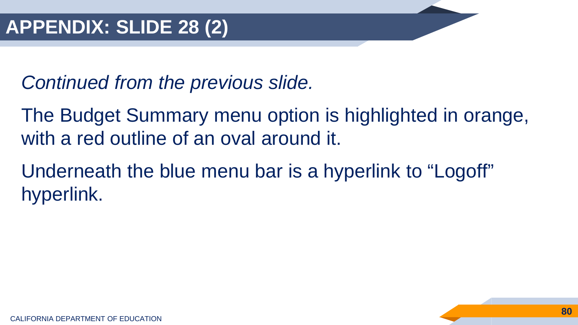The Budget Summary menu option is highlighted in orange, with a red outline of an oval around it.

Underneath the blue menu bar is a hyperlink to "Logoff" hyperlink.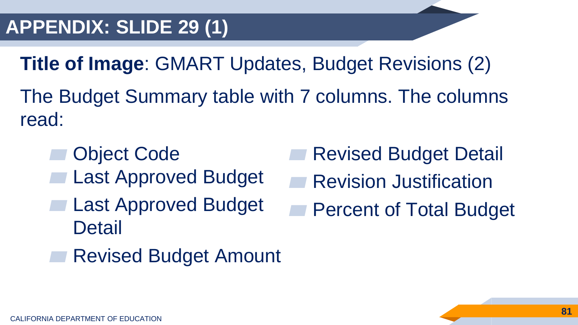**Title of Image**: GMART Updates, Budget Revisions (2) The Budget Summary table with 7 columns. The columns read:

**Object Code Last Approved Budget Last Approved Budget Detail** 

**Revised Budget Detail** 

- **Revision Justification** 
	- **Percent of Total Budget**
- **Revised Budget Amount**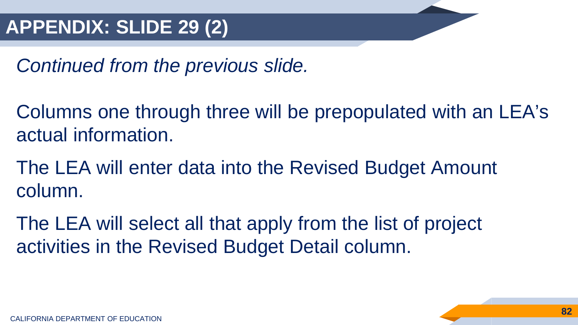Columns one through three will be prepopulated with an LEA's actual information.

The LEA will enter data into the Revised Budget Amount column.

The LEA will select all that apply from the list of project activities in the Revised Budget Detail column.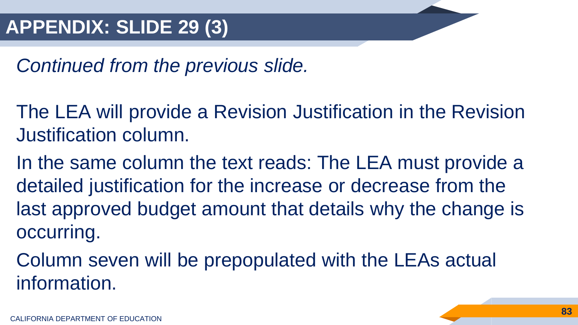- The LEA will provide a Revision Justification in the Revision Justification column.
- In the same column the text reads: The LEA must provide a detailed justification for the increase or decrease from the last approved budget amount that details why the change is occurring.
- Column seven will be prepopulated with the LEAs actual information.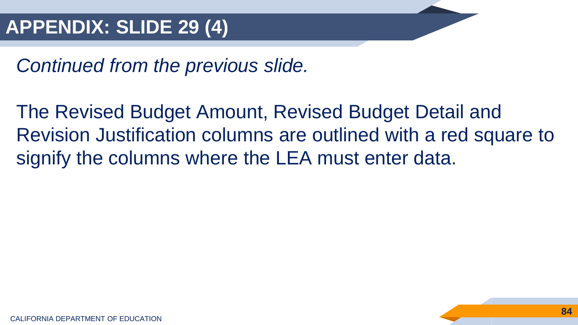The Revised Budget Amount, Revised Budget Detail and Revision Justification columns are outlined with a red square to signify the columns where the LEA must enter data.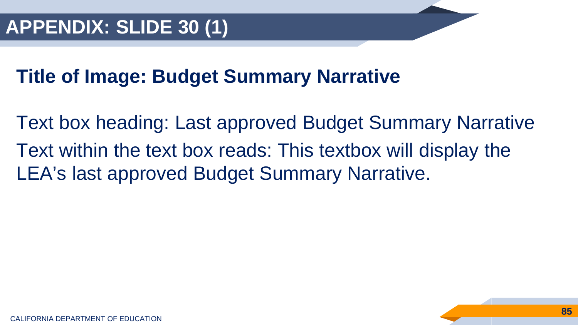#### **Title of Image: Budget Summary Narrative**

Text box heading: Last approved Budget Summary Narrative Text within the text box reads: This textbox will display the LEA's last approved Budget Summary Narrative.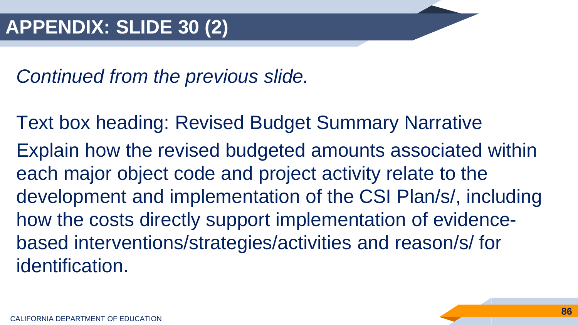Text box heading: Revised Budget Summary Narrative Explain how the revised budgeted amounts associated within each major object code and project activity relate to the development and implementation of the CSI Plan/s/, including how the costs directly support implementation of evidencebased interventions/strategies/activities and reason/s/ for identification.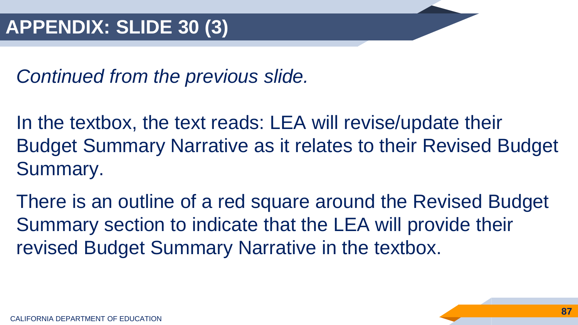In the textbox, the text reads: LEA will revise/update their Budget Summary Narrative as it relates to their Revised Budget Summary.

There is an outline of a red square around the Revised Budget Summary section to indicate that the LEA will provide their revised Budget Summary Narrative in the textbox.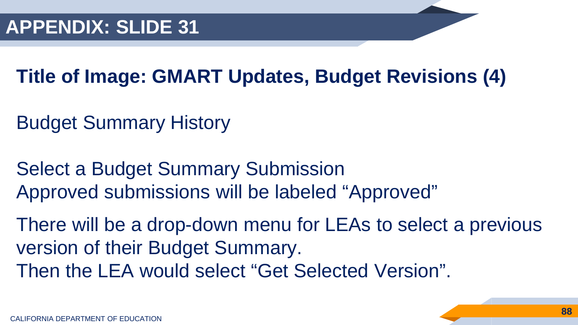## **Title of Image: GMART Updates, Budget Revisions (4)**

- Budget Summary History
- Select a Budget Summary Submission Approved submissions will be labeled "Approved"
- There will be a drop-down menu for LEAs to select a previous version of their Budget Summary. Then the LEA would select "Get Selected Version".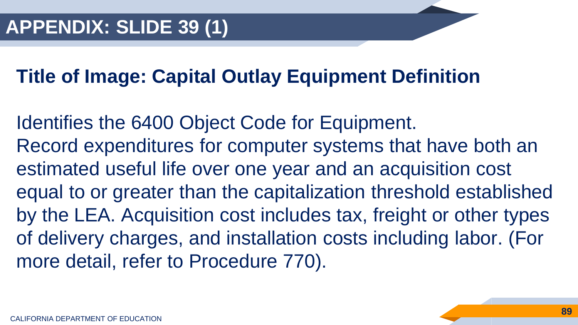#### **Title of Image: Capital Outlay Equipment Definition**

Identifies the 6400 Object Code for Equipment. Record expenditures for computer systems that have both an estimated useful life over one year and an acquisition cost equal to or greater than the capitalization threshold established by the LEA. Acquisition cost includes tax, freight or other types of delivery charges, and installation costs including labor. (For more detail, refer to Procedure 770).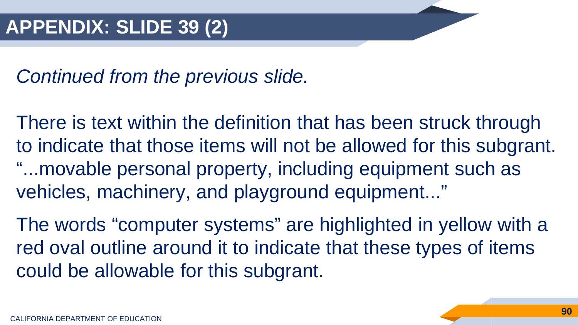There is text within the definition that has been struck through to indicate that those items will not be allowed for this subgrant. "...movable personal property, including equipment such as vehicles, machinery, and playground equipment..."

The words "computer systems" are highlighted in yellow with a red oval outline around it to indicate that these types of items could be allowable for this subgrant.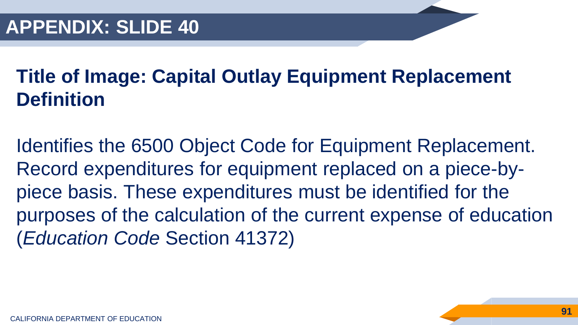## **Title of Image: Capital Outlay Equipment Replacement Definition**

Identifies the 6500 Object Code for Equipment Replacement. Record expenditures for equipment replaced on a piece-bypiece basis. These expenditures must be identified for the purposes of the calculation of the current expense of education (*Education Code* Section 41372)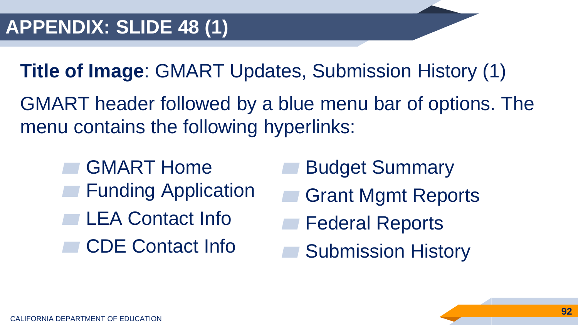**Title of Image**: GMART Updates, Submission History (1)

GMART header followed by a blue menu bar of options. The menu contains the following hyperlinks:

- GMART Home **Funding Application** LEA Contact Info CDE Contact Info
- **Budget Summary**
- **Grant Mgmt Reports**
- **Federal Reports**
- **Submission History**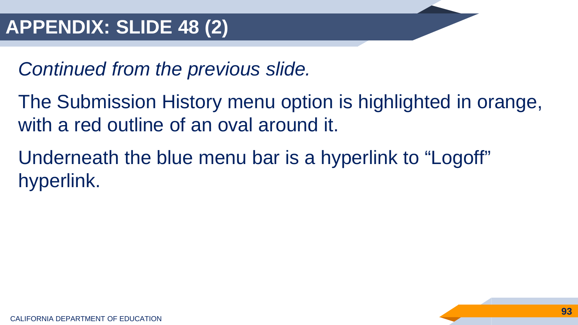The Submission History menu option is highlighted in orange, with a red outline of an oval around it.

Underneath the blue menu bar is a hyperlink to "Logoff" hyperlink.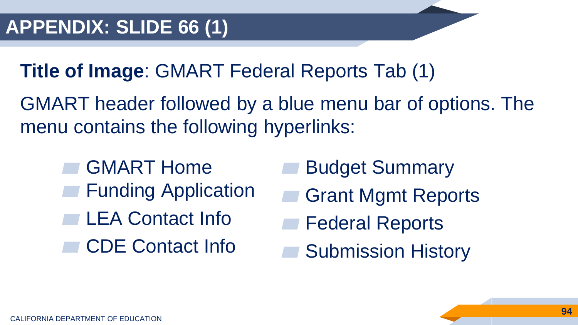**Title of Image**: GMART Federal Reports Tab (1)

GMART header followed by a blue menu bar of options. The menu contains the following hyperlinks:

- GMART Home **Funding Application** LEA Contact Info CDE Contact Info
- **Budget Summary**
- **Grant Mgmt Reports**
- **Federal Reports**
- **Submission History**